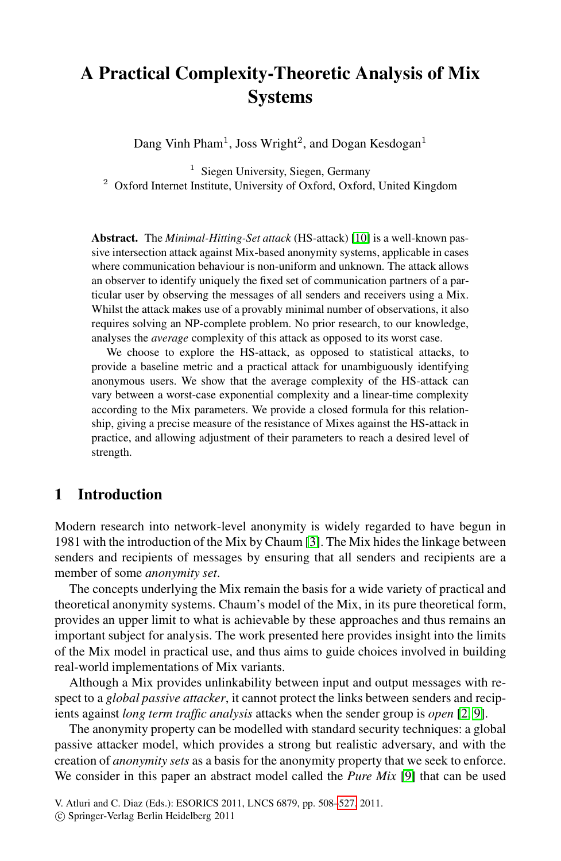# **A Practical Complexity-Theoretic Analysis of Mix Systems**

Dang Vinh Pham<sup>1</sup>, Joss Wright<sup>2</sup>, and Dogan Kesdogan<sup>1</sup>

<sup>1</sup> Siegen University, Siegen, Germany <sup>2</sup> Oxford Internet Institute, University of Oxford, Oxford, United Kingdom

**Abstract.** The *Minimal-Hitting-Set attack* (HS-attack) [10] is a well-known passive intersection attack against Mix-based anonymity systems, applicable in cases where communication behaviour is non-uniform and unknown. The attack allows an observer to identify uniquely the fixed set of communication partners of a particular user by observing the messages of all senders and receivers using a Mix. Whilst the attack makes use of a provably minimal number of observations, it also requires solving an NP-complete problem. No prior research, to our knowledge, analyses the *average* complexity of this attack as opposed to its worst case.

We choose to explore the HS-attack, as opposed to statistical attacks, to provide a baseline metric and a practical attack for unambiguously identifying anonymous users. We show that the average complexity of the HS-attack can vary between a worst-case exponential complexity and a linear-time complexity according to the Mix parameters. We provide a closed formula for this relationship, giving a precise [mea](#page-16-0)sure of the resistance of Mixes against the HS-attack in practice, and allowing adjustment of their parameters to reach a desired level of strength.

# **1 Introduction**

Modern research into network-level anonymity is widely regarded to have begun in 1981 with the introduction of the Mix by Chaum [3]. The Mix hides the linkage between senders and recipients of messages by ensuring that all senders and recipients are a member of some *anonymity set*.

The concepts underlying the Mix remain the basis for [a](#page-16-1) [wid](#page-16-2)e variety of practical and theoretical anonymity systems. Chaum's model of the Mix, in its pure theoretical form, provides an upper limit to what is achievable by these approaches and thus remains an important subject for analysis. The work presented here provides insight into the limits of the Mix model in practical use, and thus ai[ms](#page-16-2) to guide choices involved in building real-world implementations of Mix variants.

Although a Mix provides unli[nkab](#page-19-0)ility between input and output messages with respect to a *global passive attacker*, it cannot protect the links between senders and recipients against *long term traffic analysis* attacks when the sender group is *open* [2, 9].

The anonymity property can be modelled with standard security techniques: a global passive attacker model, which provides a strong but realistic adversary, and with the creation of *anonymity sets* as a basis for the anonymity property that we seek to enforce. We consider in this paper an abstract model called the *Pure Mix* [9] that can be used

V. Atluri and C. Diaz (Eds.): ESORICS 2011, LNCS 6879, pp. 508–527, 2011.

<sup>-</sup>c Springer-Verlag Berlin Heidelberg 2011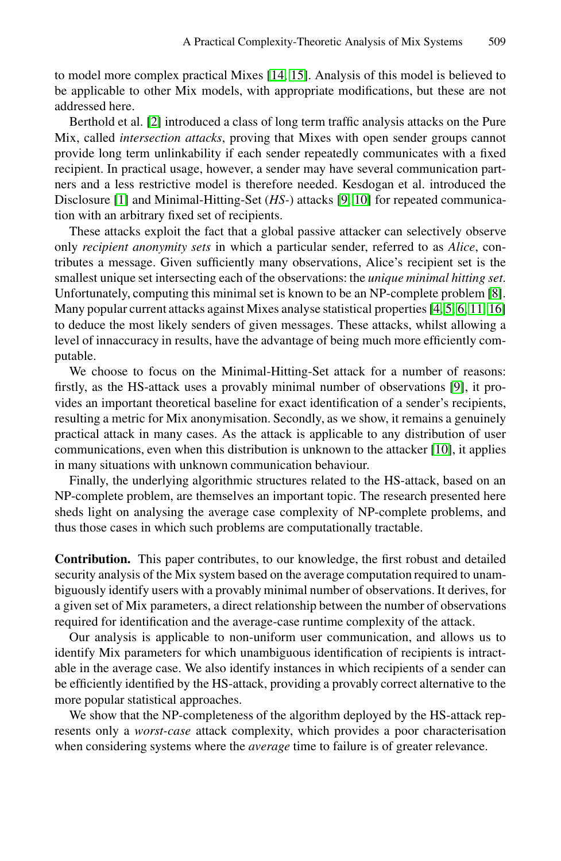to model more complex practical [M](#page-16-2)[ixes](#page-16-3) [14, 15]. Analysis of this model is believed to be applicable to other Mix models, with appropriate modifications, but these are not addressed here.

Berthold et al. [2] introduced a class of long term traffic analysis attacks on the Pure Mix, called *intersection attacks*, proving that Mixes with open sender groups cannot provide long term unlinkability if each sender repeatedly communicates with a fixed recipient. In practical usage, however, a sender may have seve[ral](#page-16-4) communication partners and a less restrictive model is therefore need[ed](#page-16-5)[. K](#page-16-6)[es](#page-16-7)[do](#page-16-8)[gan](#page-16-9) et al. introduced the Disclosure [1] and Minimal-Hitting-Set (*HS-*) attacks [9, 10] for repeated communication with an arbitrary fixed set of recipients.

These attacks exploit the fact that a global passive attacker can selectively observe only *recipient anonymity sets* in which a particular sender, referred to as *Alice*, contributes a message. Given sufficiently many observati[ons](#page-16-2), Alice's recipient set is the smallest unique set intersecting each of the observations: the *unique minimal hitting set*. Unfortunately, computing this minimal set is known to be an NP-complete problem [8]. Many popular current attacks against Mixes analyse statistical properties [4, 5, 6, 11, 16] to deduce the most likely senders of given message[s. T](#page-16-3)hese attacks, whilst allowing a level of innaccuracy in results, have the advantage of being much more efficiently computable.

We choose to focus on the Minimal-Hitting-Set attack for a number of reasons: firstly, as the HS-attack uses a provably minimal number of observations [9], it provides an important theoretical baseline for exact identification of a sender's recipients, resulting a metric for Mix anonymisation. Secondly, as we show, it remains a genuinely practical attack in many cases. As the attack is applicable to any distribution of user communications, even when this distribution is unknown to the attacker [10], it applies in many situations with unknown communication behaviour.

Finally, the underlying algorithmic structures related to the HS-attack, based on an NP-complete problem, are themselves an important topic. The research presented here sheds light on analysing the average case complexity of NP-complete problems, and thus those cases in which such problems are computationally tractable.

**Contribution.** This paper contributes, to our knowledge, the first robust and detailed security analysis of the Mix system based on the average computation required to unambiguously identify users with a provably minimal number of observations. It derives, for a given set of Mix parameters, a direct relationship between the number of observations required for identification and the average-case runtime complexity of the attack.

Our analysis is applicable to non-uniform user communication, and allows us to identify Mix parameters for which unambiguous identification of recipients is intractable in the average case. We also identify instances in which recipients of a sender can be efficiently identified by the HS-attack, providing a provably correct alternative to the more popular statistical approaches.

We show that the NP-completeness of the algorithm deployed by the HS-attack represents only a *worst-case* attack complexity, which provides a poor characterisation when considering systems where the *average* time to failure is of greater relevance.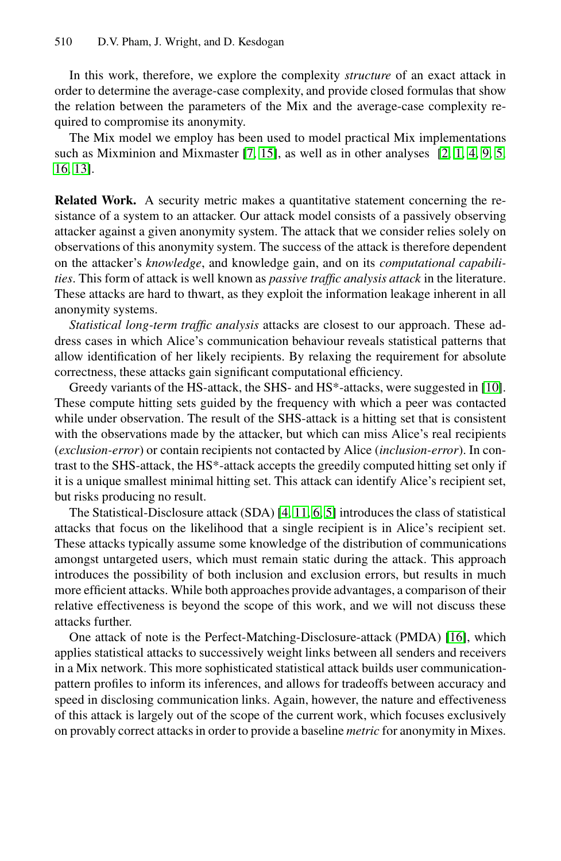In this work, therefore, we explore the complexity *structure* of an exact attack in order to determine the average-case complexity, and provide closed formulas that show the relation between the parameters of the Mix and the average-case complexity required to compromise its anonymity.

The Mix model we employ has been used to model practical Mix implementations such as Mixminion and Mixmaster [7, 15], as well as in other analyses [2, 1, 4, 9, 5, 16, 13].

**Related Work.** A security metric makes a quantitative statement concerning the resistance of a system to an attacker. Our attack model consists of a passively observing attacker against a given anonymity system. The attack that we consider relies solely on observations of this anonymity system. The success of the attack is therefore dependent on the attacker's *knowledge*, and knowledge gain, and on its *[com](#page-16-3)putational capabilities*. This form of attack is well known as *passive traffic analysis attack* in the literature. These attacks are hard to thwart, as they exploit the information leakage inherent in all anonymity systems.

*Statistical long-term traffic analysis* attacks are closest to our approach. These address cases in which Alice's communication behaviour reveals statistical patterns that allow identification of her likely recipients. By relaxing the requirement for absolute correctness, these attacks gain significant computational efficiency.

Greedy variants of t[he](#page-16-5) [HS](#page-16-8)[-a](#page-16-7)t[ta](#page-16-6)ck, the SHS- and HS\*-attacks, were suggested in [10]. These compute hitting sets guided by the frequency with which a peer was contacted while under observation. The result of the SHS-attack is a hitting set that is consistent with the observations made by the attacker, but which can miss Alice's real recipients (*exclusion-error*) or contain recipients not contacted by Alice (*inclusion-error*). In contrast to the SHS-attack, the HS\*-attack accepts the greedily computed hitting set only if it is a unique smallest minimal hitting set. This attack can identify Alice's recipient set, but risks producing no result.

The Statistical-Disclosure attack (SDA) [4, 11, 6, 5] [intr](#page-16-9)oduces the class of statistical attacks that focus on the likelihood that a single recipient is in Alice's recipient set. These attacks typically assume some knowledge of the distribution of communications amongst untargeted users, which must remain static during the attack. This approach introduces the possibility of both inclusion and exclusion errors, but results in much more efficient attacks. While both approaches provide advantages, a comparison of their relative effectiveness is beyond the scope of this work, and we will not discuss these attacks further.

One attack of note is the Perfect-Matching-Disclosure-attack (PMDA) [16], which applies statistical attacks to successively weight links between all senders and receivers in a Mix network. This more sophisticated statistical attack builds user communicationpattern profiles to inform its inferences, and allows for tradeoffs between accuracy and speed in disclosing communication links. Again, however, the nature and effectiveness of this attack is largely out of the scope of the current work, which focuses exclusively on provably correct attacks in order to provide a baseline *metric* for anonymity in Mixes.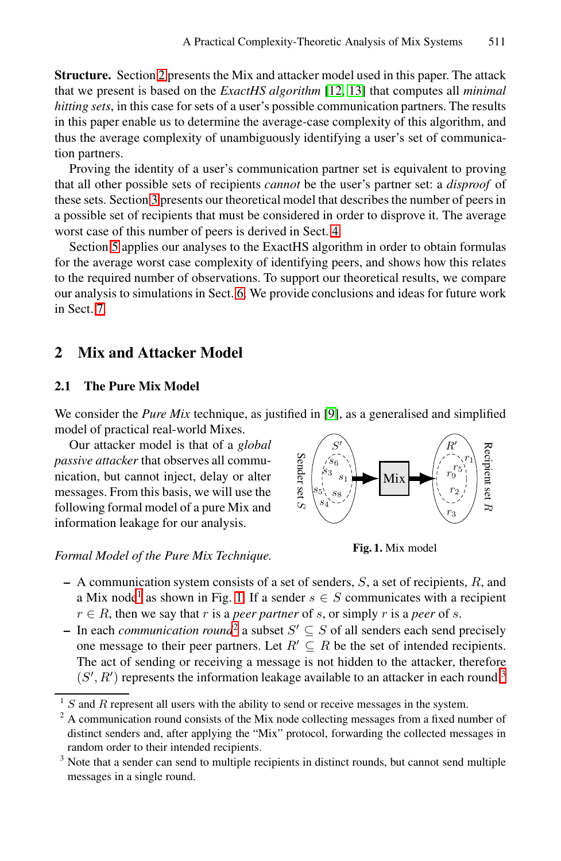**Structure.** Section 2 presents the Mix and attacker model used in this paper. The attack that we present is based on the *ExactHS algorithm* [12, 13] that computes all *minimal hitting sets*, in this case for sets [of a](#page-10-0) user's possible communication partners. The results in this paper enable us to determine the average-case complexity of this algorithm, and thus the average complexity of unambiguously identifying a user's set of communication partners.

Proving th[e i](#page-14-0)dentity of a user's communication partner set is equivalent to proving that all other possible sets of recipients *cannot* be the user's partner set: a *disproof* of these sets. Section 3 presents our theoretical model that describes the number of peers in a possible set of recipients that must be considered in order to disprove it. The average worst case of this number of peers is derived in Sect. 4.

Section 5 applies our analyses to the ExactHS algorithm in order to obtain formulas for the average worst case complexity of identifying peers, and shows how this relates to the required number of observations. To support our theoretical results, we compare our analysis to simulations in S[ect](#page-16-2). 6. We provide conclusions and ideas for future work in Sect. 7.

# **2 Mix and Attacker Model**

### **2.1 The Pure Mix Model**

We consider the *Pure Mix* technique, as justified in [9], as a generalised and simplified model of practical real-world Mixes.

Our attacker model is that of a *global passive attacker* that observes all communication, but [can](#page-3-0)not inject, delay or alter messages. From this basis, we will use the following for[m](#page-3-1)al model of a pure Mix and information leakage for our analysis.

### *Formal Model of the Pure Mix Technique.*

<span id="page-3-0"></span>

**Fig. 1.** [Mi](#page-3-2)x model

- **–** A communication system consists of a set of senders, *S*, a set of recipients, *R*, and a Mix node<sup>1</sup> as shown in Fig. 1. If a sender  $s \in S$  communicates with a recipient  $r \in R$ , then we say that *r* is a *peer partner* of *s*, or simply *r* is a *peer* of *s*.
- <span id="page-3-2"></span><span id="page-3-1"></span> $−$  In each *communication round*<sup>2</sup> a subset  $S' ⊆ S$  of all senders each send precisely one message to their peer partners. Let  $R' \subseteq R$  be the set of intended recipients. The act of sending or receiving a message is not hidden to the attacker, therefore  $(S', R')$  represents the information leakage available to an attacker in each round.<sup>3</sup>

<sup>2</sup> A communication round consists of the Mix node collecting messages from a fixed number of distinct senders and, after applying the "Mix" protocol, forwarding the collected messages in random order to their intended recipients.

<sup>&</sup>lt;sup>1</sup> *S* and *R* represent all users with the ability to send or receive messages in the system.

<sup>3</sup> Note that a sender can send to multiple recipients in distinct rounds, but cannot send multiple messages in a single round.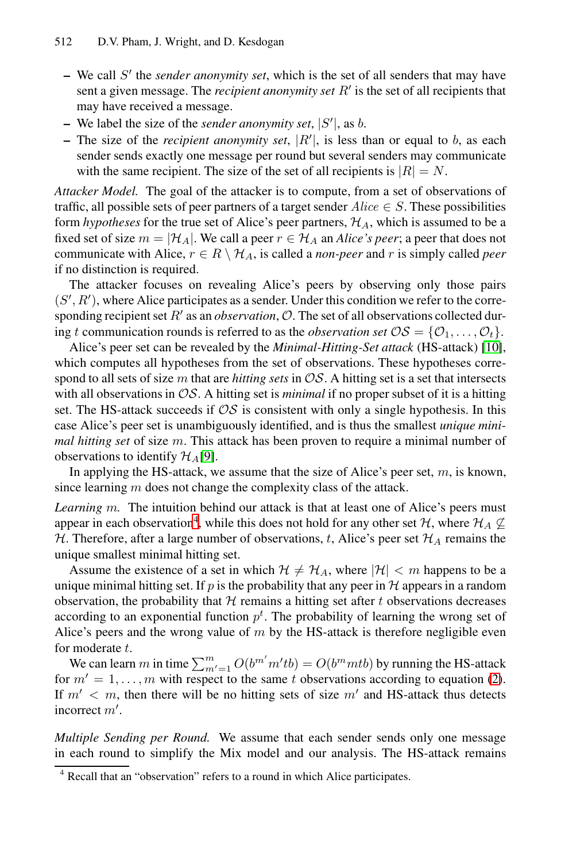- We call S' the *sender anonymity set*, which is the set of all senders that may have sent a given message. The *recipient anonymity set*  $R'$  is the set of all recipients that may have received a message.
- $\blacktriangleright$  We label the size of the *sender anonymity set*,  $|S'|$ , as *b*.
- $\blacksquare$  The size of the *recipient anonymity set*,  $|R'|$ , is less than or equal to *b*, as each sender sends exactly one message per round but several senders may communicate with the same recipient. The size of the set of all recipients is  $|R| = N$ .

*Attacker Model.* The goal of the attacker is to compute, from a set of observations of traffic, all possible sets of peer partners of a target sender  $Alice \in S$ . These possibilities form *hypotheses* for the true set of Alice's peer partners,  $H_A$ , [whi](#page-16-3)ch is assumed to be a fixed set of size  $m = |\mathcal{H}_A|$ . We call a peer  $r \in \mathcal{H}_A$  an *Alice's peer*; a peer that does not communicate with Alice,  $r \in R \setminus H_A$ , is called a *non-peer* and *r* is simply called *peer* if no distinction is required.

The attacker focuses on revealing Alice's peers by observing only those pairs  $(S', R')$ , where Alice participates as a sender. Under this condition we refer to the corresponding recipient set  $R'$  as an *observation*,  $\mathcal{O}$ . The set of all observations collected during *t* c[om](#page-16-2)munication rounds is referred to as the *observation set*  $OS = \{O_1, \ldots, O_t\}$ .

Alice's peer set can be revealed by the *Minimal-Hitting-Set attack* (HS-attack) [10], which computes all hypotheses from the set of observations. These hypotheses correspond to all sets of size *m* that are *hitting sets* in OS. A hitting set is a set that intersects with [all](#page-4-0) observations in OS. A hitting set is *minimal* if no proper subset of it is a hitting set. The HS-attack succeeds if  $OS$  is consistent with only a single hypothesis. In this case Alice's peer set is unambiguously identified, and is thus the smallest *unique minimal hitting set* of size *m*. This attack has been proven to require a minimal number of observations to identify  $\mathcal{H}_A[9]$ .

In applying the HS-attack, we assume that the size of Alice's peer set, *m*, is known, since learning *m* does not change the complexity class of the attack.

*Learning m.* The intuition behind our attack is that at least one of Alice's peers must appear in each observation<sup>4</sup>, while this does not hold for any other set H, where  $\mathcal{H}_A \not\subseteq$ H. Therefore, after a large number of observations, t, Alice's peer set  $\mathcal{H}_A$  remains the unique smallest minimal hitting set.

Assume the existence of a set in which  $H \neq H_A$ , where  $|H| < m$  $|H| < m$  $|H| < m$  happens to be a unique minimal hitting set. If  $p$  is the probability that any peer in  $H$  appears in a random observation, the probability that  $H$  remains a hitting set after  $t$  observations decreases according to an exponential function  $p<sup>t</sup>$ . The probability of learning the wrong set of Alice's peers and the wrong value of *m* by the HS-attack is therefore negligible even for moderate *t*.

<span id="page-4-0"></span>We can learn *m* in time  $\sum_{m=1}^{m}$  $\binom{m}{m'-1} O(b^{m'}m'tb) = O(b^mmtb)$  by running the HS-attack for  $m' = 1, \ldots, m$  with respect to the same *t* observations according to equation (2). If  $m' < m$ , then there will be no hitting sets of size  $m'$  and HS-attack thus detects incorrect m'.

*Multiple Sending per Round.* We assume that each sender sends only one message in each round to simplify the Mix model and our analysis. The HS-attack remains

<sup>4</sup> Recall that an "observation" refers to a round in which Alice participates.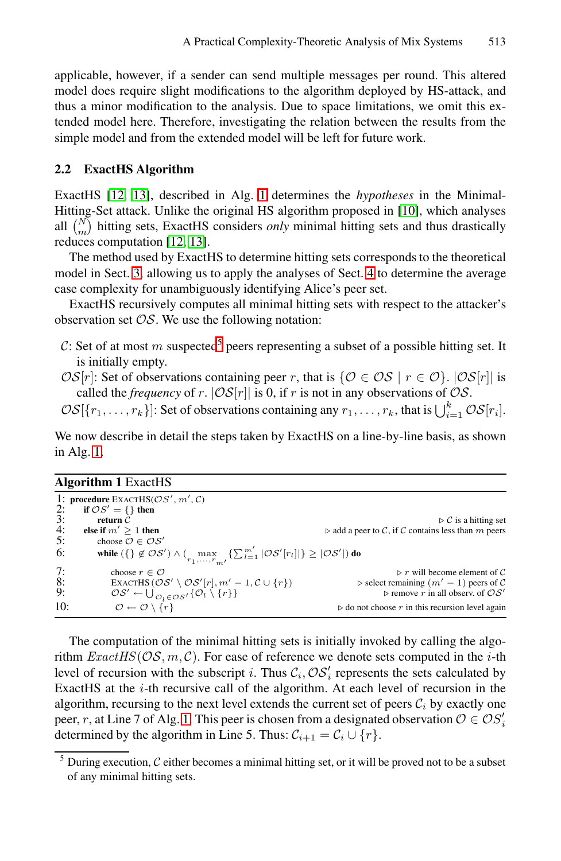applicable, howev[er](#page-5-0), if a sender can send multiple messages per round. This altered model does require slight modifications to t[he a](#page-16-3)lgorithm deployed by HS-attack, and thus a minor modification to the analysis. Due to space limitations, we omit this ext[end](#page-16-12)[ed m](#page-16-13)odel here. Therefore, investigating the relation between the results from the simple model and from the extended model will be left for future work.

### **2.2 ExactHS Algorithm**

ExactHS [12, 13], described in Alg. 1 determines the *hypotheses* in the Minimal-Hitting-Set attack. Unlike the original HS algorithm proposed in [10], which analyses all  $\binom{N}{m}$  hi[tt](#page-5-1)ing sets, ExactHS considers *only* minimal hitting sets and thus drastically reduces computation [12, 13].

The method used by ExactHS to determine hitting sets corresponds to the theoretical model in Sect. 3, allowing us to apply the analyses of Sect. 4 to determine the average case complexity for unambiguously identifying Alice's peer set.

ExactHS recursively computes all minimal hitting sets with respect to the attacker's observation set  $OS$ . We use the following notation:

- C: Set of at most  $m$  suspected<sup>5</sup> peers representing a subset of a possible hitting set. It is initially empty.
- $OS[r]$ : Set of observations containing peer *r*, that is  $\{O \in OS \mid r \in O\}$ .  $|OS[r]|$  is called the *frequency* of *r*.  $|\mathcal{OS}[r]|$  is 0, if *r* is not in any observations of  $\mathcal{OS}$ .

 $OS[\lbrace r_1, \ldots, r_k \rbrace]$ : Set of observations containing any  $r_1, \ldots, r_k$ , that is  $\bigcup_{i=1}^k \mathcal{OS}[r_i]$ .

We now describe in detail the steps taken by ExactHS on a line-by-line basis, as shown in Alg. 1.

### **Algorithm 1** ExactHS

<span id="page-5-0"></span>

| 2:<br>3:<br>4:<br>5:<br>6: | 1: procedure $\text{EXACTHS}(\mathcal{O}S', m', \mathcal{C})$<br>if $\mathcal{O}S' = \{\}$ then<br>return $\mathcal C$<br>else if $m' \geq 1$ then<br>choose $\mathcal{O} \in \mathcal{OS}'$                                                                                       | $\triangleright$ C is a hitting set<br>$\triangleright$ add a peer to C, if C contains less than m peers<br>while $(\{\}\not\in \mathcal{OS}')\land (\max_{r_1,\ldots,r_{m'}}\{\sum_{l=1}^{m'} \mathcal{OS}'[r_l] \}\geq  \mathcal{OS}' )$ do |
|----------------------------|------------------------------------------------------------------------------------------------------------------------------------------------------------------------------------------------------------------------------------------------------------------------------------|-----------------------------------------------------------------------------------------------------------------------------------------------------------------------------------------------------------------------------------------------|
| 7:<br>8:<br>9:<br>10:      | choose $r \in \mathcal{O}$<br>EXACTHS $(\mathcal{OS}' \setminus \mathcal{OS}'[r], m' - 1, \mathcal{C} \cup \{r\})$<br>$\mathcal{OS}' \leftarrow \bigcup_{\mathcal{O}_l \in \mathcal{OS}'} {\mathcal{O}_l \setminus \{r\}}$<br>$\mathcal{O} \leftarrow \mathcal{O} \setminus \{r\}$ | $\triangleright$ r will become element of C<br>$\triangleright$ select remaining $(m' - 1)$ peers of C<br>$\triangleright$ remove r in all observ, of $OS'$<br>$\triangleright$ do not choose r in this recursion level again                 |

<span id="page-5-1"></span>The computation of the minimal hitting sets is initially invoked by calling the algorithm  $ExactHS(\mathcal{OS}, m, \mathcal{C})$ . For ease of reference we denote sets computed in the *i*-th level of recursion with the subscript *i*. Thus  $C_i$ ,  $\mathcal{OS}'_i$  represents the sets calculated by ExactHS at the *i*-th recursive call of the algorithm. At each level of recursion in the algorithm, recursing to the next level extends the current set of peers  $C_i$  by exactly one peer, *r*, at Line 7 of Alg. 1. This peer is chosen from a designated observation  $\mathcal{O} \in \mathcal{O}S_i'$ determined by the algorithm in Line 5. Thus:  $C_{i+1} = C_i \cup \{r\}.$ 

<sup>5</sup> During execution, *<sup>C</sup>* either becomes a minimal hitting set, or it will be proved not to be a subset of any minimal hitting sets.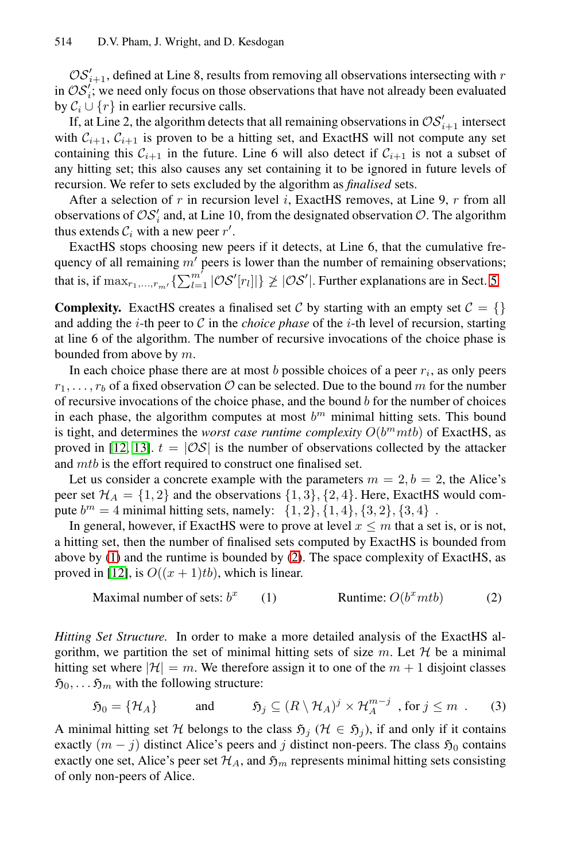$\mathcal{OS}_{i+1}'$ , defined at Line 8, results from removing all observations intersecting with *r* in  $OS_i^{\prime}$ ; we need only focus on those observations that have not already been evaluated by  $C_i \cup \{r\}$  in earlier recursive calls.

If, at Line 2, the algorithm detects that all remaining observations in  $\mathcal{OS}_{i+1}'$  intersect with  $C_{i+1}$ ,  $C_{i+1}$  is proven to be a hitting set, and ExactHS will not compute any set containing this  $C_{i+1}$  $C_{i+1}$  in the future. Line 6 will also detect if  $C_{i+1}$  is not a subset of any hitting set; this also causes any set containing it to be ignored in future levels of recursion. We refer to sets excluded by the algorithm as *finalised* sets.

After a selection of *r* in recursion level *i*, ExactHS removes, at Line 9, *r* from all observations of  $OS'_i$  and, at Line 10, from the designated observation  $O$ . The algorithm thus extends  $C_i$  with a new peer  $r'$ .

ExactHS stops choosing new peers if it detects, at Line 6, that the cumulative frequency of all remaining m' peers is lower than the number of remaining observations; that is, if  $\max_{r_1,...,r_{m'}} \{\sum_{l=1}^{m'} |\mathcal{OS}'[r_l]| \} \not\geq |\mathcal{OS}'|$ . Further explanations are in Sect. 5.

**Complexity.** Exact HS creates a finalised set C by starting with an empty set  $C = \{\}$ and adding the *i*-th peer to C in the *choice phase* of the *i*-th level of recursion, starting at line 6 of the algorithm. The number of recursive invocations of the choice phase is bounded from above by *m*.

In each choice phase there are at most *b* possible choices of a peer  $r_i$ , as only peers  $r_1, \ldots, r_b$  of a fixed observation  $\mathcal O$  can be selected. Due to the bound *m* for the number of recursive invocations of the choice phase, and the bound *b* for the number of choices in each phase, the algorithm computes at most  $b<sup>m</sup>$  minimal hitting sets. This bound is tight, and determines [th](#page-6-0)e *worst case runtime complexity*  $O(b<sup>m</sup>mtb)$  of ExactHS, as proved in [12, 13].  $t = |OS|$  is the number of observations collected by the attacker and *mtb* is the effort required to construct one finalised set.

<span id="page-6-1"></span>Let us consider a concrete example with the parameters  $m = 2, b = 2$ , the Alice's peer set  $\mathcal{H}_A = \{1, 2\}$  and the observations  $\{1, 3\}$ ,  $\{2, 4\}$ . Here, ExactHS would compute  $b^m = 4$  minimal hitting sets, namely:  $\{1, 2\}, \{1, 4\}, \{3, 2\}, \{3, 4\}$ .

In general, however, if ExactHS were to prove at level  $x \leq m$  that a set is, or is not, a hitting set, then the number of finalised sets computed by ExactHS is bounded from above by (1) and the runtime is bounded by (2). The space complexity of ExactHS, as proved in [12], is  $O((x + 1)tb)$ , which is linear.

<span id="page-6-0"></span>Maximal number of sets: 
$$
b^x
$$
 (1)   
RuntimeException:  $O(b^x m t b)$  (2)

*Hitting Set Structure.* In order to make a more detailed analysis of the ExactHS algorithm, we partition the set of minimal hitting sets of size  $m$ . Let  $H$  be a minimal hitting set where  $|\mathcal{H}| = m$ . We therefore assign it to one of the  $m + 1$  disjoint classes  $\mathfrak{H}_0, \ldots \mathfrak{H}_m$  with the following structure:

$$
\mathfrak{H}_0 = \{ \mathcal{H}_A \} \quad \text{and} \quad \mathfrak{H}_j \subseteq (R \setminus \mathcal{H}_A)^j \times \mathcal{H}_A^{m-j} \text{ , for } j \leq m \text{ . } \quad (3)
$$

A minimal hitting set H belongs to the class  $\mathfrak{H}_i$  ( $\mathcal{H} \in \mathfrak{H}_i$ ), if and only if it contains exactly  $(m - j)$  distinct Alice's peers and *j* distinct non-peers. The class  $\mathfrak{H}_0$  contains exactly one set, Alice's peer set  $\mathcal{H}_A$ , and  $\mathfrak{H}_m$  represents minimal hitting sets consisting of only non-peers of Alice.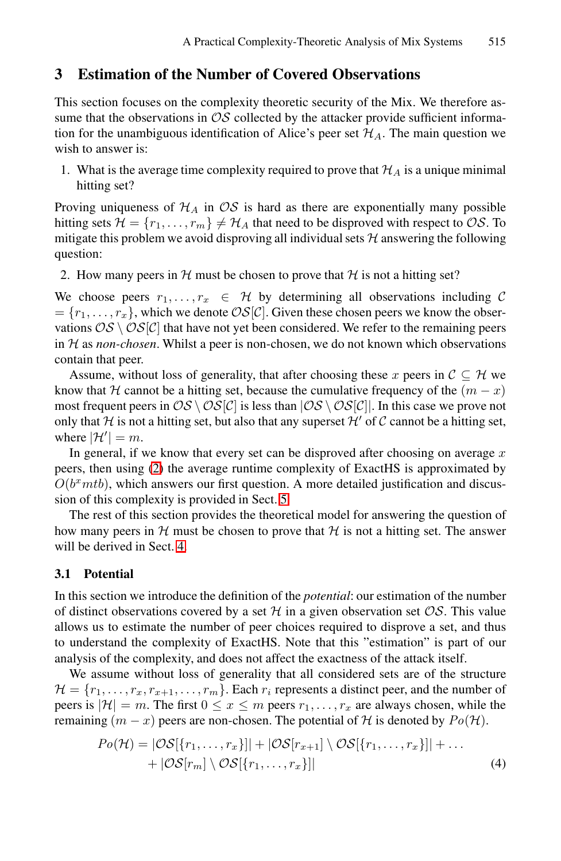# **3 Estimation of the Number of Covered Observations**

This section focuses on the complexity theoretic security of the Mix. We therefore assume that the observations in  $OS$  collected by the attacker provide sufficient information for the unambiguous identification of Alice's peer set  $\mathcal{H}_A$ . The main question we wish to answer is:

1. What is the average time complexity required to prove that  $\mathcal{H}_A$  is a unique minimal hitting set?

Proving uniqueness of  $H_A$  in  $OS$  is hard as there are exponentially many possible hitting sets  $\mathcal{H} = \{r_1, \ldots, r_m\} \neq \mathcal{H}_A$  that need to be disproved with respect to OS. To mitigate this problem we avoid disproving all individual sets  $H$  answering the following question:

2. How many peers in  $H$  must be chosen to prove that  $H$  is not a hitting set?

We choose peers  $r_1, \ldots, r_x \in \mathcal{H}$  by determining all observations including C  $=\{r_1,\ldots,r_x\}$ , which we denote  $OS[\mathcal{C}]$ . Given these chosen peers we know the observations  $OS \setminus OS[{\cal C}]$  that have not yet been considered. We refer to the remaining peers in  $H$  as *non-chosen*. Whilst a peer is non-chosen, we do not known which observations contain that peer.

Assume, without l[oss](#page-12-0) of generality, that after choosing these *x* peers in  $C \subseteq H$  we know that H cannot be a hitting set, because the cumulative frequency of the  $(m - x)$ most frequent peers in  $OS \setminus OS[C]$  is less than  $|OS \setminus OS[C]|$ . In this case we prove not on[ly](#page-10-0) that H is not a hitting set, but also that any superset H' of C cannot be a hitting set, where  $|\mathcal{H}'| = m$ .

In general, if we know that every set can be disproved after choosing on average *x* peers, then using (2) the average runtime complexity of ExactHS is approximated by  $O(b<sup>x</sup>mtb)$ , which answers our first question. A more detailed justification and discussion of this complexity is provided in Sect. 5.

The rest of this section provides the theoretical model for answering the question of how many peers in H must be chosen to prove that H is not a hitting set. The answer will be derived in Sect. 4.

### **3.1 Potential**

In this section we introduce the definition of the *potential*: our estimation of the number of distinct observations covered by a set  $H$  in a given observation set  $OS$ . This value allows us to estimate the number of peer choices required to disprove a set, and thus to understand the complexity of ExactHS. Note that this "estimation" is part of our analysis of the complexity, and does not affect the exactness of the attack itself.

We assume without loss of generality that all considered sets are of the structure  $\mathcal{H} = \{r_1, \ldots, r_x, r_{x+1}, \ldots, r_m\}$ . Each  $r_i$  represents a distinct peer, and the number of peers is  $|\mathcal{H}| = m$ . The first  $0 \le x \le m$  peers  $r_1, \ldots, r_x$  are always chosen, while the remaining  $(m - x)$  peers are non-chosen. The potential of  $H$  is denoted by  $Po(H)$ .

<span id="page-7-0"></span>
$$
Po(\mathcal{H}) = |\mathcal{OS}[\{r_1, \ldots, r_x\}]| + |\mathcal{OS}[r_{x+1}] \setminus \mathcal{OS}[\{r_1, \ldots, r_x\}]| + \ldots
$$
  
+ 
$$
|\mathcal{OS}[r_m] \setminus \mathcal{OS}[\{r_1, \ldots, r_x\}]|
$$
 (4)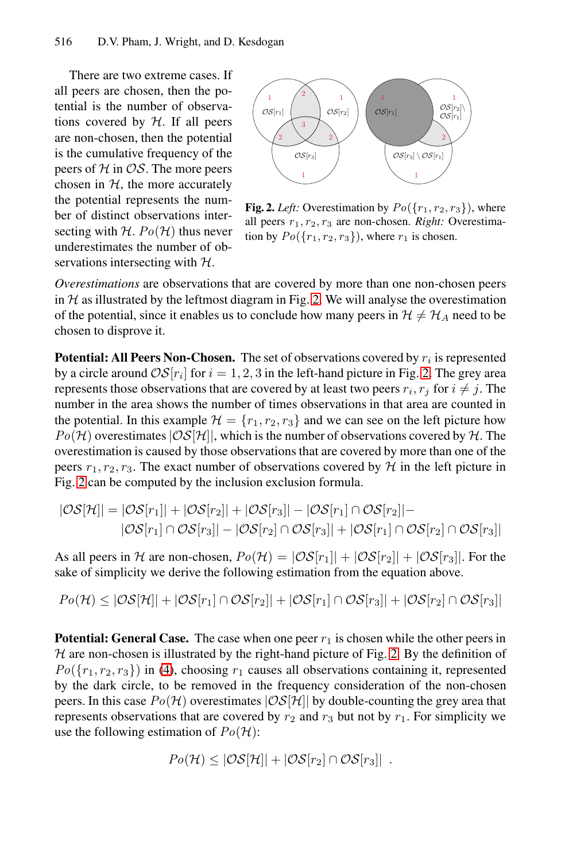There are two extreme cases. If all peers are chosen, then the potential is the number of observations covered by  $H$ . If all peers are non-chosen, then the potential is the cumulative frequency of the peers of  $H$  in  $\mathcal{OS}$ . The more peers chosen in  $H$ , the more accu[rat](#page-8-0)ely the potential represents the number of distinct observations intersecting with  $H$ .  $Po(H)$  thus never underestimates the number of observations intersecting with  $H$ .

<span id="page-8-0"></span>

**Fig. 2.** *Left:* Overestimation by  $Po({r_1, r_2, r_3})$ , where all peers *r*1*, r*2*, r*<sup>3</sup> are non-chosen. *Right:* Overestimation by  $Po({r_1, r_2, r_3})$ , where  $r_1$  is chosen.

*Overestimations* are observations that are covered by more than one non-chosen peers in  $H$  as illustrated by the leftmost diagram in Fig. 2. We will analyse the overestimation of the potential, since it enables us to conclude how many peers in  $\mathcal{H} \neq \mathcal{H}_A$  need to be chosen to disprove it.

**Potential: All Peers Non-Chosen.** The set of observations covered by  $r_i$  is represented by a circle around  $OS[r_i]$  for  $i = 1, 2, 3$  in the left-hand picture in Fig. 2. The grey area represents those observations that are covered by at least two peers  $r_i, r_j$  for  $i \neq j$ . The number in the area shows the number of times observations in that area are counted in the potential. In this example  $\mathcal{H} = \{r_1, r_2, r_3\}$  and we can see on the left picture how  $Po(\mathcal{H})$  overestimates  $|OS[\mathcal{H}]|$ , which is the number of observations covered by  $\mathcal{H}$ . The overestimation is caused by those observations that are covered by more than one of the peers  $r_1, r_2, r_3$ . The exact number of observations covered by  $H$  in the left picture in Fig. 2 can be computed by the inclusion exclusion formula.

$$
|\mathcal{OS}[\mathcal{H}]| = |\mathcal{OS}[r_1]| + |\mathcal{OS}[r_2]| + |\mathcal{OS}[r_3]| - |\mathcal{OS}[r_1] \cap \mathcal{OS}[r_2]| -
$$
  

$$
|\mathcal{OS}[r_1] \cap \mathcal{OS}[r_3]| - |\mathcal{OS}[r_2] \cap \mathcal{OS}[r_3]| + |\mathcal{OS}[r_1] \cap \mathcal{OS}[r_2] \cap \mathcal{OS}[r_3]|
$$

[A](#page-7-0)s all peers in H are non-chosen,  $Po(H) = |OS[r_1]| + |OS[r_2]| + |OS[r_3]|$ . For the sake of simplicity we derive the following estimation from the equation above.

$$
Po(\mathcal{H}) \leq |\mathcal{OS}[\mathcal{H}]| + |\mathcal{OS}[r_1] \cap \mathcal{OS}[r_2]| + |\mathcal{OS}[r_1] \cap \mathcal{OS}[r_3]| + |\mathcal{OS}[r_2] \cap \mathcal{OS}[r_3]|
$$

**Potential: General Case.** The case when one peer  $r_1$  is chosen while the other peers in  $H$  are non-chosen is illustrated by the right-hand picture of Fig. 2. By the definition of  $Po({r_1, r_2, r_3})$  in (4), choosing  $r_1$  causes all observations containing it, represented by the dark circle, to be removed in the frequency consideration of the non-chosen peers. In this case  $Po(H)$  overestimates  $|OS[H]|$  by double-counting the grey area that represents observations that are covered by  $r_2$  and  $r_3$  but not by  $r_1$ . For simplicity we use the following estimation of  $Po(H)$ :

$$
Po(\mathcal{H}) \leq |\mathcal{OS}[\mathcal{H}]| + |\mathcal{OS}[r_2] \cap \mathcal{OS}[r_3]|.
$$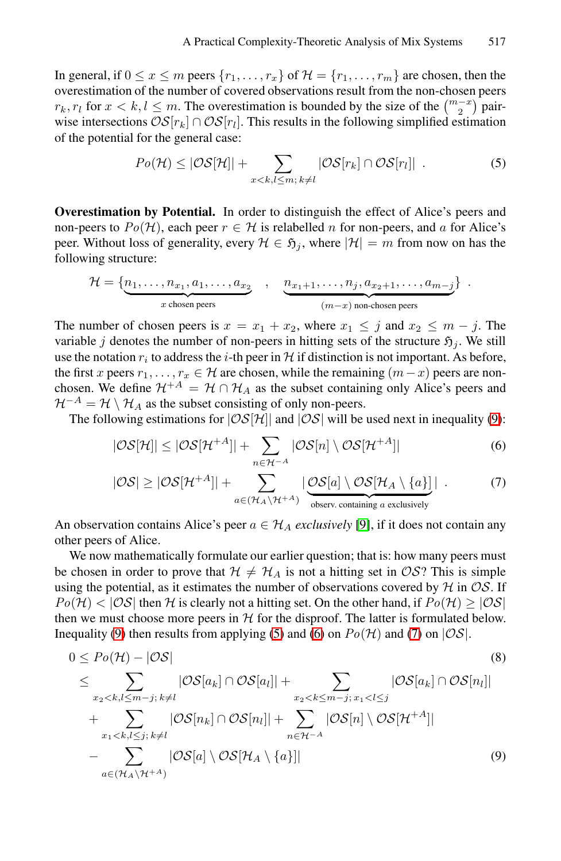In general, if  $0 \le x \le m$  peers  $\{r_1, \ldots, r_x\}$  of  $\mathcal{H} = \{r_1, \ldots, r_m\}$  are chosen, then the overestimation of the number of covered observations result from the non-chosen peers  $r_k, r_l$  for  $x < k, l \leq m$ . The overestimation is bounded by the size of the  $\binom{m-x}{2}$  pairwise intersections  $OS[r_k] \cap OS[r_l]$ . This results in the following simplified estimation of the potential for the general case:

<span id="page-9-2"></span><span id="page-9-1"></span>
$$
Po(\mathcal{H}) \leq |\mathcal{OS}[\mathcal{H}]| + \sum_{x < k, l \leq m; \, k \neq l} |\mathcal{OS}[r_k] \cap \mathcal{OS}[r_l]| \,.
$$

**Overestimation by Potential.** In order to distinguish the effect of Alice's peers and non-peers to  $Po(H)$ , each peer  $r \in H$  is relabelled *n* for non-peers, and *a* for Alice's peer. Without loss of generality, every  $\mathcal{H} \in \mathfrak{H}_i$ , where  $|\mathcal{H}| = m$  from now on has the following structure:

$$
\mathcal{H} = \{ \underbrace{n_1, \ldots, n_{x_1}, a_1, \ldots, a_{x_2}}_{x \text{ chosen peers}}, \quad \underbrace{n_{x_1+1}, \ldots, n_j, a_{x_2+1}, \ldots, a_{m-j}}_{(m-x) \text{ non-chosen peers}} \}.
$$

The number of chosen peers is  $x = x_1 + x_2$ , where  $x_1 \leq j$  and  $x_2 \leq m - j$ . The variable *j* denotes the number of non-peers in hitting sets of the structure  $\mathfrak{H}_j$ . We still use the notation  $r_i$  to address the *i*-th peer in  $H$  if distinction is not important. As before, the first *x* peers  $r_1, \ldots, r_x \in \mathcal{H}$  are chosen, while the remaining  $(m-x)$  peers are nonchosen. We define  $\mathcal{H}^{+A} = \mathcal{H} \cap \mathcal{H}_A$  as the subset containing only Alice's peers and  $\mathcal{H}^{-A} = \mathcal{H} \setminus \mathcal{H}_A$  $\mathcal{H}^{-A} = \mathcal{H} \setminus \mathcal{H}_A$  $\mathcal{H}^{-A} = \mathcal{H} \setminus \mathcal{H}_A$  as the subset consisting of only non-peers.

The following estimations for  $|\mathcal{OS}[\mathcal{H}]|$  and  $|\mathcal{OS}|$  will be used next in inequality (9):

<span id="page-9-3"></span>
$$
|\mathcal{OS}[\mathcal{H}]| \leq |\mathcal{OS}[\mathcal{H}^{+A}]| + \sum_{n \in \mathcal{H}^{-A}} |\mathcal{OS}[n] \setminus \mathcal{OS}[\mathcal{H}^{+A}]|
$$
(6)

<span id="page-9-4"></span><span id="page-9-0"></span>
$$
|\mathcal{OS}| \geq |\mathcal{OS}[\mathcal{H}^{+A}]| + \sum_{a \in (\mathcal{H}_A \setminus \mathcal{H}^{+A})} |\underbrace{\mathcal{OS}[a] \setminus \mathcal{OS}[\mathcal{H}_A \setminus \{a\}]}_{\text{observ. containing } a \text{ exclusively}}|.
$$
 (7)

An observation cont[ain](#page-9-1)s Ali[ce'](#page-9-2)s peer  $a \in \mathcal{H}_A$  *e[xc](#page-9-3)lusively* [9], if it does not contain any other peers of Alice.

We now mathematically formulate our earlier question; that is: how many peers must be chosen in order to prove that  $\mathcal{H} \neq \mathcal{H}_A$  is not a hitting set in  $\mathcal{OS}$ ? This is simple using the potential, as it estimates the number of observations covered by  $H$  in  $\mathcal{OS}$ . If  $Po(\mathcal{H}) < |\mathcal{OS}|$  then  $\mathcal{H}$  is clearly not a hitting set. On the other hand, if  $Po(\mathcal{H}) \geq |\mathcal{OS}|$ then we must choose more peers in  $H$  for the disproof. The latter is formulated below. Inequality (9) then results from applying (5) and (6) on  $Po(H)$  and (7) on  $|OS|$ .

$$
0 \le Po(\mathcal{H}) - |\mathcal{OS}| \tag{8}
$$
\n
$$
\le \sum_{x_2 < k, l \le m-j; \, k \ne l} |\mathcal{OS}[a_k] \cap \mathcal{OS}[a_l]| + \sum_{x_2 < k \le m-j; \, x_1 < l \le j} |\mathcal{OS}[a_k] \cap \mathcal{OS}[n_l]| + \sum_{x_1 < k, l \le j; \, k \ne l} |\mathcal{OS}[n_k] \cap \mathcal{OS}[n_l]| + \sum_{n \in \mathcal{H}^{-A}} |\mathcal{OS}[n] \setminus \mathcal{OS}[\mathcal{H}^{+A}]| - \sum_{a \in (\mathcal{H}_A \setminus \mathcal{H}^{+A})} |\mathcal{OS}[a] \setminus \mathcal{OS}[\mathcal{H}_A \setminus \{a\}]| \tag{9}
$$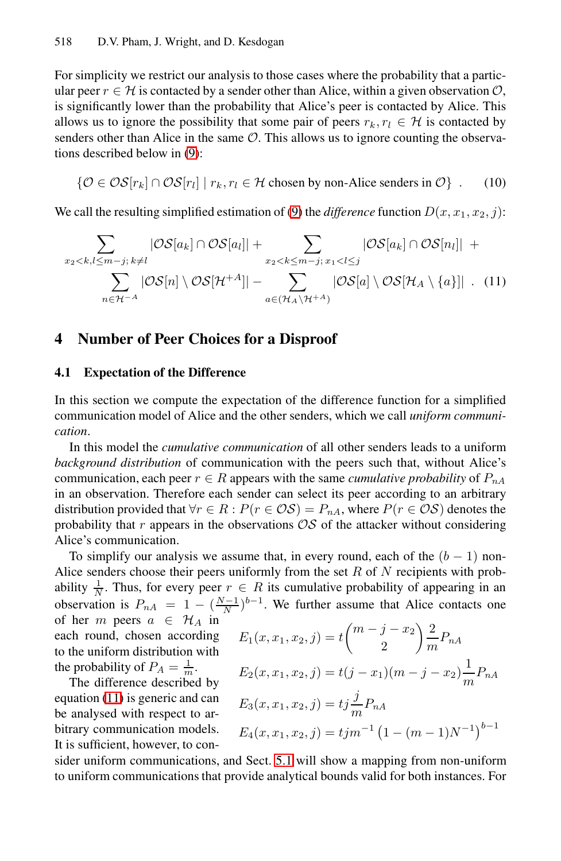For simplicity we restrict our analysis to those cases where the probability that a particular peer  $r \in H$  is conta[cte](#page-9-0)d by a sender other than Alice, within a given observation  $\mathcal{O}$ , is significantly lower than the probability that Alice's peer is contacted by Alice. This allows us to ignore the possibility that some pair of peers  $r_k, r_l \in \mathcal{H}$  is contacted by senders other than Alice in the same  $\mathcal{O}$ . This allows us to ignore counting the observations described below in (9):

{ $\mathcal{O} \in \mathcal{OS}[r_k] \cap \mathcal{OS}[r_l] \mid r_k, r_l \in \mathcal{H}$  chosen by non-Alice senders in  $\mathcal{O} \}$  . (10)

<span id="page-10-1"></span><span id="page-10-0"></span>We call the resulting simplified estimation of (9) the *difference* function  $D(x, x_1, x_2, j)$ :

$$
\sum_{x_2 < k, l \le m-j; \, k \ne l} |\mathcal{OS}[a_k] \cap \mathcal{OS}[a_l]| + \sum_{x_2 < k \le m-j; \, x_1 < l \le j} |\mathcal{OS}[a_k] \cap \mathcal{OS}[n_l]| + \sum_{x_2 < k \le m-j; \, x_1 < l \le j} |\mathcal{OS}[a_k] \setminus \mathcal{OS}[n_l] \setminus \mathcal{OS}[n_l] \setminus \mathcal{OS}[n_l + A]| - \sum_{a \in (\mathcal{H}_A \setminus \mathcal{H}^{+A})} |\mathcal{OS}[a] \setminus \mathcal{OS}[\mathcal{H}_A \setminus \{a\}] | \, . \, (11)
$$

### **4 Number of Peer Choices for a Disproof**

### **4.1 Expectation of the Difference**

In this section we compute the expectation of the difference function for a simplified communication model of Alice and the other senders, which we call *uniform communication*.

In this model the *cumulative communication* of all other senders leads to a uniform *background distribution* of communication with the peers such that, without Alice's communication, each peer  $r \in R$  appears with the same *cumulative probability* of  $P_{nA}$ in an observation. Therefore each sender can select its peer according to an arbitrary distribution provided that  $\forall r \in R : P(r \in OS) = P_{nA}$ , where  $P(r \in OS)$  denotes the probability that  $r$  appears in the observations  $OS$  of the attacker without considering Alice's communication.

To simplify our analysis we assume that, in every round, each of the  $(b - 1)$  non-Alice senders choose their peers uniformly from the set *R* of *N* recipients with probability  $\frac{1}{N}$ . Thus, for every peer  $r \in R$  its cumulative probability of appearing in an observation is  $P_{nA} = 1 - \left(\frac{N-1}{N}\right)^{b-1}$ . We further assume that Alice contacts one  $E_1(x, x_1, x_2, j) = t \binom{m - j - x_2}{2}$  $\setminus$  2 of her *m* peers  $a \in H_A$  in

each round, chosen [acco](#page-12-1)rding to the uniform distribution with the probability of  $P_A = \frac{1}{m}$ .

2  $\frac{1}{m}P_{nA}$  $E_2(x, x_1, x_2, j) = t(j - x_1)(m - j - x_2)\frac{1}{m}P_{nA}$  $E_3(x, x_1, x_2, j) = t j \frac{j}{m} P_{nA}$  $E_4(x, x_1, x_2, j) = tjm^{-1} (1 - (m-1)N^{-1})^{b-1}$ 

The difference described by equation (11) is generic and can be analysed with respect to arbitrary communication models. It is sufficient, however, to con-

sider uniform communications, and Sect. 5.1 will show a mapping from non-uniform to uniform communications that provide analytical bounds valid for both instances. For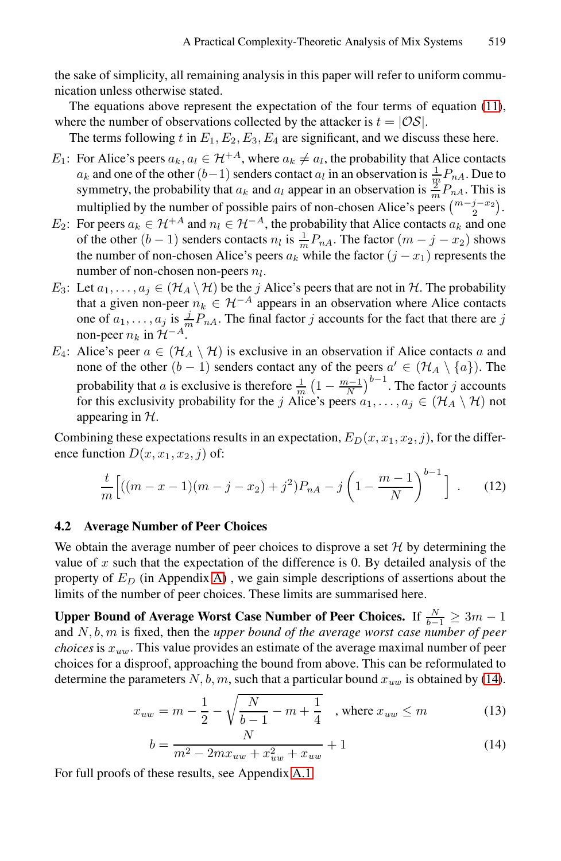the sake of simplicity, all remaining analysis in this paper will refer to uniform communication unless otherwise stated.

The equations above represent the expectation of the four terms of equation (11), where the number of observations collected by the attacker is  $t = |OS|$ .

The terms following *t* in  $E_1, E_2, E_3, E_4$  are significant, and we discuss these here.

- *E*<sub>1</sub>: For Alice's peers  $a_k, a_l \in \mathcal{H}^{+A}$ , where  $a_k \neq a_l$ , the probability that Alice contacts *a*<sub>k</sub> and one of the other (*b*−1) senders contact  $a_l$  in an observation is  $\frac{1}{m}P_{nA}$ . Due to symmetry, the probability that  $a_k$  and  $a_l$  appear in an observation is  $\frac{2}{m}P_{nA}$ . This is multiplied by the number of possible pairs of non-chosen Alice's peers  $\binom{m-j-x_2}{2}$ .
- *E*<sub>2</sub>: For peers  $a_k \in H^{+A}$  and  $n_l \in H^{-A}$ , the probability that Alice contacts  $a_k$  and one of the other  $(b-1)$  senders contacts  $n_l$  is  $\frac{1}{m}P_{nA}$ . The factor  $(m - j - x_2)$  shows the number of non-chosen Alice's peers  $a_k$  while the factor  $(j - x_1)$  represents the number of non-chosen non-peers  $n_l$ .
- *E*<sub>3</sub>: Let  $a_1, \ldots, a_j \in (\mathcal{H}_A \setminus \mathcal{H})$  be the *j* Alice's peers that are not in  $\mathcal{H}$ . The probability that a given non-peer  $n_k \in H^{-A}$  appears in an observation where Alice contacts one of  $a_1, \ldots, a_j$  is  $\frac{j}{m}P_{nA}$ . The final factor *j* accounts for the fact that there are *j* non-peer  $n_k$  in  $H^{-A}$ .
- *E*<sub>4</sub>: Alice's peer  $a \in (\mathcal{H}_A \setminus \mathcal{H})$  is exclusive in an observation if Alice contacts *a* and none of the other  $(b-1)$  senders contact any of the peers  $a' \in (\mathcal{H}_A \setminus \{a\})$ . The probability that *a* is exclusive is therefore  $\frac{1}{m} \left(1 - \frac{m-1}{N}\right)^{b-1}$ . The factor *j* accounts for this exclusivity probability for the *j* Alice's peers  $a_1, \ldots, a_j \in (\mathcal{H}_A \setminus \mathcal{H})$  not appearing in  $H$ .

Combining these expectations results in an expectation,  $E_D(x, x_1, x_2, j)$ , for the difference fun[ctio](#page-17-0)n  $D(x, x_1, x_2, j)$  of:

<span id="page-11-2"></span>
$$
\frac{t}{m}\left[((m-x-1)(m-j-x_2)+j^2)P_{nA}-j\left(1-\frac{m-1}{N}\right)^{b-1}\right].
$$
 (12)

#### **4.2 Average Number of Peer Choices**

We obtain the average number of peer choices to disprove a set  $H$  by determining the value of *x* such that the expectation of the difference is 0. B[y](#page-11-0) [de](#page-11-0)tailed analysis of the property of  $E_D$  (in Appendix A), we gain simple descriptions of assertions about the limits of the number of peer choices. These limits are summarised here.

Upper Bound of Average Worst Case Number of Peer Choices. If  $\frac{N}{b-1} \geq 3m-1$ and *N, b, m* is fixed, then the *upper bound of the average worst case number of peer choices* is *xuw* . This val[ue pro](#page-18-0)vides an estimate of the average maximal number of peer choices for a disproof, approaching the bound from above. This can be reformulated to determine the parameters  $N, b, m$ , such that a particular bound  $x_{uw}$  is obtained by (14).

<span id="page-11-1"></span>
$$
x_{uw} = m - \frac{1}{2} - \sqrt{\frac{N}{b-1} - m + \frac{1}{4}} \quad , \text{ where } x_{uw} \le m \tag{13}
$$

<span id="page-11-0"></span>
$$
b = \frac{N}{m^2 - 2mx_{uw} + x_{uw}^2 + 1}
$$
 (14)

For full proofs of these results, see Appendix A.1.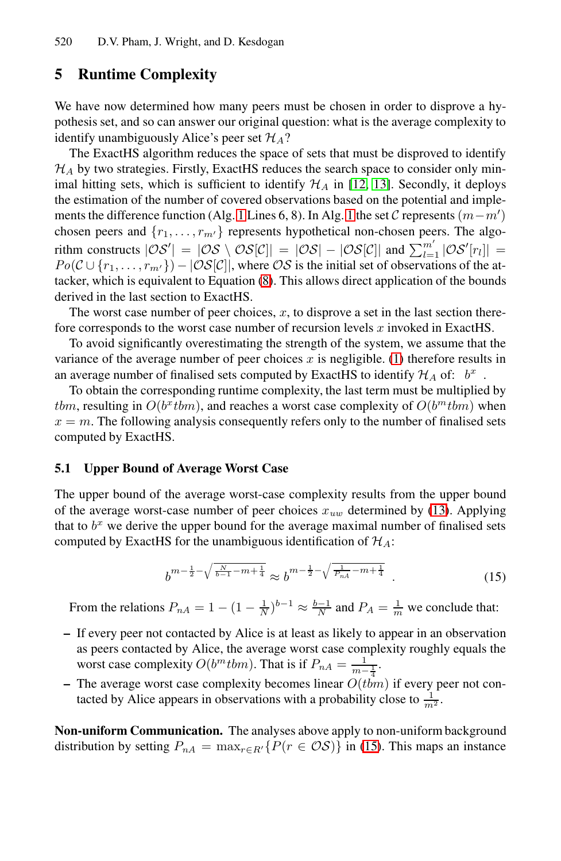# <span id="page-12-0"></span>**5 Runtime Complexity**

We have now [de](#page-5-0)termined how ma[ny](#page-5-0) peers must be chosen in order to disprove a hypothesis set, and so can answer our original question: what is the average complexity to identify unambiguously Alice's peer set  $\mathcal{H}_A$ ?

The ExactHS al[go](#page-9-4)rithm reduces the space of sets that must be disproved to identify  $\mathcal{H}_A$  by two strategies. Firstly, ExactHS reduces the search space to consider only minimal hitting sets, which is sufficient to identify  $\mathcal{H}_A$  in [12, 13]. Secondly, it deploys the estimation of the number of covered observations based on the potential and implements the difference function (Alg. 1 Lines 6, 8). In Alg. 1 the set  $\mathcal C$  represents  $(m-m')$ chosen peers and  $\{r_1, \ldots, r_{m'}\}$  represents [hy](#page-6-1)pothetical non-chosen peers. The algorithm constructs  $|\mathcal{OS}'| = |\mathcal{OS} \setminus \mathcal{OS}[\mathcal{C}]| = |\mathcal{OS}| - |\mathcal{OS}[\mathcal{C}]|$  and  $\sum_{l=1}^{m'} |\mathcal{OS}'[r_l]| =$  $Po(C \cup \{r_1, \ldots, r_{m'}\}) - |OS[C]|$ , where  $OS$  is the initial set of observations of the attacker, which is equivalent to Equation (8). This allows direct application of the bounds derived in the last section to ExactHS.

The worst case number of peer choices, *x*, to disprove a set in the last section therefore corresponds to the worst case number of recursion levels *x* invoked in ExactHS.

<span id="page-12-1"></span>To avoid significantly overestimating the strength of the system, we assume that the variance of the average number of peer choices  $x$  is negligible. (1) therefore results in an average number of finalised sets computed by ExactHS to identify  $\mathcal{H}_A$  of:  $b^x$ .

To obtain the corresponding runtime complexity, [the](#page-11-1) last term must be multiplied by *tbm*, resulting in  $O(b^x t b m)$ , and reaches a worst case complexity of  $O(b^m t b m)$  when  $x = m$ . The following analysis consequently refers only to the number of finalised sets computed by ExactHS.

### **5.1 Upper Bound of Average Worst Case**

The upper bound of the average worst-case complexity results from the upper bound of the average worst-case number of peer choices *xuw* determined by (13). Applying that to  $b^x$  we derive the upper bound for the average maximal number of finalised sets computed by ExactHS for the unambiguous identification of  $\mathcal{H}_A$ :

<span id="page-12-2"></span>
$$
b^{m-\frac{1}{2}-\sqrt{\frac{N}{b-1}-m+\frac{1}{4}}}\approx b^{m-\frac{1}{2}-\sqrt{\frac{1}{P_{nA}}-m+\frac{1}{4}}}.
$$
 (15)

From the relations  $P_{nA} = 1 - (1 - \frac{1}{N})^{b-1} \approx \frac{b-1}{N}$  and  $P_A = \frac{1}{m}$  we conclude that:

- **–** If every peer not contacted by Ali[ce](#page-12-2) [is](#page-12-2) at least as likely to appear in an observation as peers contacted by Alice, the average worst case complexity roughly equals the worst case complexity  $O(b^m t b m)$ . That is if  $P_{nA} = \frac{1}{m - \frac{1}{4}}$ .
- **–** The average worst case complexity becomes linear *O*(*tbm*) if every peer not contacted by Alice appears in observations with a probability close to  $\frac{1}{m^2}$ .

**Non-uniform Communication.** The analyses above apply to non-uniform background distribution by setting  $P_{nA} = \max_{r \in R'} \{P(r \in \mathcal{OS})\}$  in (15). This maps an instance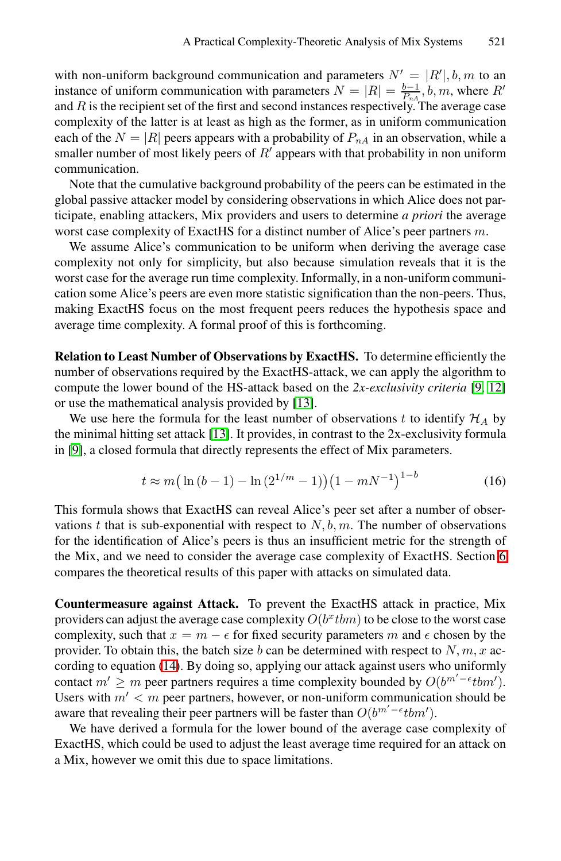with non-uniform background communication and parameters  $N' = |R'|$ ,  $b, m$  to an instance of uniform communication with parameters  $N = |R| = \frac{b-1}{P_{nA}}$ , *b*, *m*, where *R'* and *R* is the recipient set of the first and second instances respectively. The average case complexity of the latter is at least as high as the former, as in uniform communication each of the  $N = |R|$  peers appears with a probability of  $P_{nA}$  in an observation, while a smaller number of most likely peers of  $R'$  appears with that probability in non uniform communication.

Note that the cumulative background probability of the peers can be estimated in the global passive attacker model by considering observations in which Alice does not participate, enabling attackers, Mix providers and users to determine *a priori* the average worst case complexity of ExactHS for a distinct number of Alice's peer partners *m*.

We assume Alice's communication to be uniform when deriving the average case complexity not only for simplicity, but also because simu[lat](#page-16-2)[ion](#page-16-12) reveals that it is the worst case for the averag[e run](#page-16-13) time complexity. Informally, in a non-uniform communication some Alice's peers are even more statistic signification than the non-peers. Thus, making [Exac](#page-16-13)tHS focus on the most frequent peers reduces the hypothesis space and average time complexity. A formal proof of this is forthcoming.

**Relation to Least Number of Observations by ExactHS.** To determine efficiently the number of observations required by the ExactHS-attack, we can apply the algorithm to compute the lower bound of the HS-attack based on the *2x-exclusivity criteria* [9, 12] or use the mathematical analysis provided by [13].

We use here the formula for the least number of observations  $t$  to identify  $\mathcal{H}_A$  by the minimal hitting set attack [13]. It provides, in contrast to the [2x](#page-14-0)-exclusivity formula in [9], a closed formula that directly represents the effect of Mix parameters.

<span id="page-13-0"></span>
$$
t \approx m\left(\ln\left(b-1\right) - \ln\left(2^{1/m} - 1\right)\right)\left(1 - mN^{-1}\right)^{1-b} \tag{16}
$$

This formula shows that ExactHS can reveal Alice's peer set after a number of observations  $t$  that is sub-exponential with respect to  $N, b, m$ . The number of observations [for](#page-11-0) the identification of Alice's peers is thus an insufficient metric for the strength of the Mix, and we need to consider the average case complexity of ExactHS. Section 6 compares the theoretical results of this paper with attacks on simulated data.

**Countermeasure against Attack.** To prevent the ExactHS attack in practice, Mix providers can adjust the average case complexity  $O(b^x t b m)$  to be close to the worst case complexity, such that  $x = m - \epsilon$  for fixed security parameters m and  $\epsilon$  chosen by the provider. To obtain this, the batch size *b* can be determined with respect to *N, m, x* according to equation (14). By doing so, applying our attack against users who uniformly contact  $m' \ge m$  peer partners requires a time complexity bounded by  $O(b^{m'-\epsilon}tbm')$ . Users with  $m' < m$  peer partners, however, or non-uniform communication should be aware that revealing their peer partners will be faster than  $O(b^{m'-\epsilon}top')$ .

We have derived a formula for the lower bound of the average case complexity of ExactHS, which could be used to adjust the least average time required for an attack on a Mix, however we omit this due to space limitations.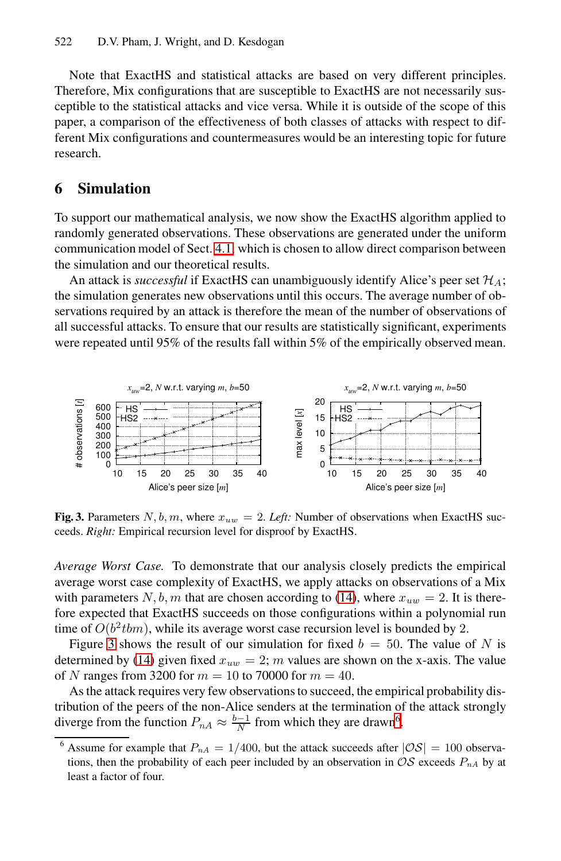<span id="page-14-0"></span>Note that ExactHS and statistical attacks are based on very different principles. Therefore, Mix configurations that are susceptible to ExactHS are not necessarily susceptible to the statistical attacks and vice versa. While it is outside of the scope of this paper, a c[omp](#page-10-1)arison of the effectiveness of both classes of attacks with respect to different Mix configurations and countermeasures would be an interesting topic for future research.

# **6 Simulation**

To support our mathematical analysis, we now show the ExactHS algorithm applied to randomly generated observations. These observations are generated under the uniform communication model of Sect. 4.1, which is chosen to allow direct comparison between the simulation and our theoretical results.

An attack is *successful* if ExactHS can unambiguously identify Alice's peer set  $\mathcal{H}_A$ ; the simulation generates new observations until this occurs. The average number of observations required by an attack is therefore the mean of the number of observations of all successful attacks. To ensure that our results are statistically significant, experiments were repeated until 95% of the results fall within 5% of the empirically observed mean.



**Fig. 3.** Parameters  $N, b, m$ , where  $x_{uw} = 2$ . Left: Number of observations when ExactHS succeeds. *Right:* Empirical recursion level for disproof by ExactHS.

*Average Worst Case.* To demonstrate that our analysis closely predicts the empirical average worst case complexity of ExactHS, we apply attacks on observations of a Mix with parameters  $N, b, m$  that are chosen acc[or](#page-14-1)ding to (14), where  $x_{uw} = 2$ . It is therefore expected that ExactHS succeeds on those configurations within a polynomial run time of  $O(b^2tbm)$ , while its average worst case recursion level is bounded by 2.

<span id="page-14-1"></span>Figure 3 shows the result of our simulation for fixed  $b = 50$ . The value of N is determined by (14) given fixed  $x_{uw} = 2$ ; *m* values are shown on the x-axis. The value of *N* ranges from 3200 for  $m = 10$  to 70000 for  $m = 40$ .

As the attack requires very few observations to succeed, the empirical probability distribution of the peers of the non-Alice senders at the termination of the attack strongly diverge from the function  $P_{nA} \approx \frac{b-1}{N}$  from which they are drawn<sup>6</sup>.

<sup>&</sup>lt;sup>6</sup> Assume for example that  $P_{nA} = 1/400$ , but the attack succeeds after  $|\mathcal{OS}| = 100$  observations, then the probability of each peer included by an observation in  $\mathcal{OS}$  exceeds  $P_{nA}$  by at least a factor of four.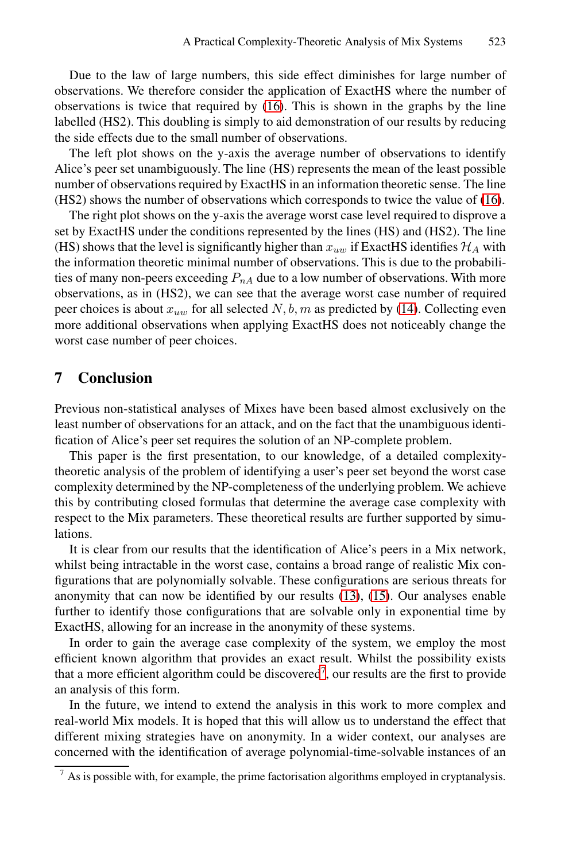Due to the law of large numbers, this side effect dimini[shes](#page-13-0) for large number of observations. We therefore consider the application of ExactHS where the number of observations is twice that required by (16). This is shown in the graphs by the line labelled (HS2). This doubling is simply to aid demonstration of our results by reducing the side effects due to the small number of observations.

The left plot shows on the y-axis the average number of observations to identify Alice's peer set unambiguously. The line (HS) represents the mean of the least possible number of observations required by ExactHS [in a](#page-11-0)n information theoretic sense. The line (HS2) shows the number of observations which corresponds to twice the value of (16).

The right plot shows on the y-axis the average worst case level required to disprove a set by ExactHS under the conditions represented by the lines (HS) and (HS2). The line (HS) shows that the level is significantly higher than  $x_{uw}$  if ExactHS identifies  $\mathcal{H}_A$  with the information theoretic minimal number of observations. This is due to the probabilities of many non-peers exceeding  $P_{nA}$  due to a low number of observations. With more observations, as in (HS2), we can see that the average worst case number of required peer choices is about  $x_{uw}$  for all selected  $N, b, m$  as predicted by (14). Collecting even more additional observations when applying ExactHS does not noticeably change the worst case number of peer choices.

# **7 Conclusion**

Previous non-statistical analyses of Mixes have been based almost exclusively on the least number of observations for an attack, and on the fact that the unambiguous identification of Alice's peer set requires the solution of an NP-complete problem.

This paper is the first presentation, to our knowledge, of a detailed complexitytheoretic analysis of the problem [of id](#page-11-1)e[ntify](#page-12-2)ing a user's peer set beyond the worst case complexity determined by the NP-completeness of the underlying problem. We achieve this by contributing closed formulas that determine the average case complexity with respect to the Mix parameters. These theoretical results are further supported by simulations.

It is clear from our results [th](#page-15-0)at the identification of Alice's peers in a Mix network, whilst being intractable in the worst case, contains a broad range of realistic Mix configurations that are polynomially solvable. These configurations are serious threats for anonymity that can now be identified by our results (13), (15). Our analyses enable further to identify those configurations that are solvable only in exponential time by ExactHS, allowing for an increase in the anonymity of these systems.

<span id="page-15-0"></span>In order to gain the average case complexity of the system, we employ the most efficient known algorithm that provides an exact result. Whilst the possibility exists that a more efficient algorithm could be discovered<sup>7</sup>, our results are the first to provide an analysis of this form.

In the future, we intend to extend the analysis in this work to more complex and real-world Mix models. It is hoped that this will allow us to understand the effect that different mixing strategies have on anonymity. In a wider context, our analyses are concerned with the identification of average polynomial-time-solvable instances of an

 $<sup>7</sup>$  As is possible with, for example, the prime factorisation algorithms employed in cryptanalysis.</sup>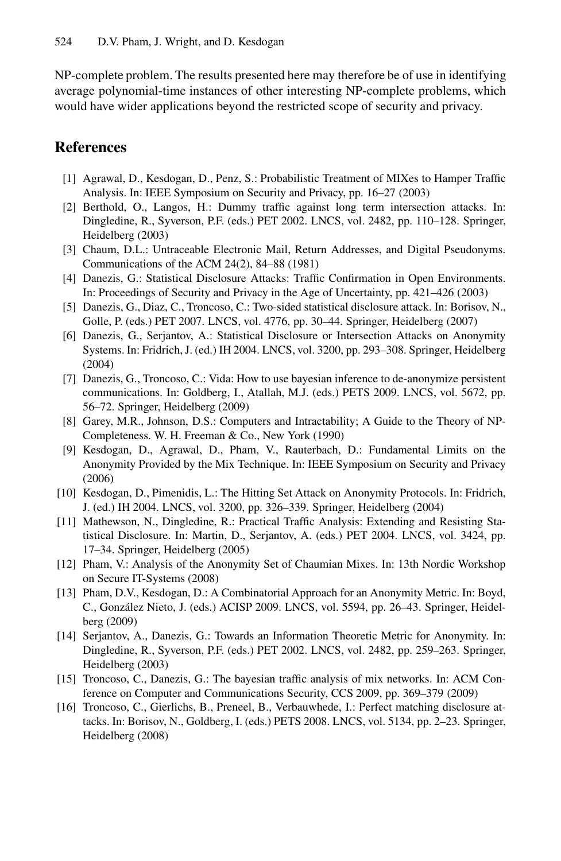NP-complete problem. The results presented here may therefore be of use in identifying average polynomial-time instances of other interesting NP-complete problems, which would have wider applications beyond the restricted scope of security and privacy.

# **References**

- [1] Agrawal, D., Kesdogan, D., Penz, S.: Probabilistic Treatment of MIXes to Hamper Traffic Analysis. In: IEEE Symposium on Security and Privacy, pp. 16–27 (2003)
- <span id="page-16-1"></span>[2] Berthold, O., Langos, H.: Dummy traffic against long term intersection attacks. In: Dingledine, R., Syverson, P.F. (eds.) PET 2002. LNCS, vol. 2482, pp. 110–128. Springer, Heidelberg (2003)
- <span id="page-16-0"></span>[3] Chaum, D.L.: Untraceable Electronic Mail, Return Addresses, and Digital Pseudonyms. Communications of the ACM 24(2), 84–88 (1981)
- <span id="page-16-5"></span>[4] Danezis, G.: Statistical Disclosure Attacks: Traffic Confirmation in Open Environments. In: Proceedings of Security and Privacy in the Age of Uncertainty, pp. 421–426 (2003)
- <span id="page-16-6"></span>[5] Danezis, G., Diaz, C., Troncoso, C.: Two-sided statistical disclosure attack. In: Borisov, N., Golle, P. (eds.) PET 2007. LNCS, vol. 4776, pp. 30–44. Springer, Heidelberg (2007)
- <span id="page-16-7"></span>[6] Danezis, G., Serjantov, A.: Statistical Disclosure or Intersection Attacks on Anonymity Systems. In: Fridrich, J. (ed.) IH 2004. LNCS, vol. 3200, pp. 293–308. Springer, Heidelberg (2004)
- <span id="page-16-10"></span>[7] Danezis, G., Troncoso, C.: Vida: How to use bayesian inference to de-anonymize persistent communications. In: Goldberg, I., Atallah, M.J. (eds.) PETS 2009. LNCS, vol. 5672, pp. 56–72. Springer, Heidelberg (2009)
- <span id="page-16-4"></span>[8] Garey, M.R., Johnson, D.S.: Computers and Intractability; A Guide to the Theory of NP-Completeness. W. H. Freeman & Co., New York (1990)
- <span id="page-16-2"></span>[9] Kesdogan, D., Agrawal, D., Pham, V., Rauterbach, D.: Fundamental Limits on the Anonymity Provided by the Mix Technique. In: IEEE Symposium on Security and Privacy (2006)
- <span id="page-16-3"></span>[10] Kesdogan, D., Pimenidis, L.: The Hitting Set Attack on Anonymity Protocols. In: Fridrich, J. (ed.) IH 2004. LNCS, vol. 3200, pp. 326–339. Springer, Heidelberg (2004)
- <span id="page-16-8"></span>[11] Mathewson, N., Dingledine, R.: Practical Traffic Analysis: Extending and Resisting Statistical Disclosure. In: Martin, D., Serjantov, A. (eds.) PET 2004. LNCS, vol. 3424, pp. 17–34. Springer, Heidelberg (2005)
- <span id="page-16-12"></span>[12] Pham, V.: Analysis of the Anonymity Set of Chaumian Mixes. In: 13th Nordic Workshop on Secure IT-Systems (2008)
- <span id="page-16-13"></span>[13] Pham, D.V., Kesdogan, D.: A Combinatorial Approach for an Anonymity Metric. In: Boyd, C., González Nieto, J. (eds.) ACISP 2009. LNCS, vol. 5594, pp. 26–43. Springer, Heidelberg (2009)
- [14] Serjantov, A., Danezis, G.: Towards an Information Theoretic Metric for Anonymity. In: Dingledine, R., Syverson, P.F. (eds.) PET 2002. LNCS, vol. 2482, pp. 259–263. Springer, Heidelberg (2003)
- <span id="page-16-11"></span>[15] Troncoso, C., Danezis, G.: The bayesian traffic analysis of mix networks. In: ACM Conference on Computer and Communications Security, CCS 2009, pp. 369–379 (2009)
- <span id="page-16-9"></span>[16] Troncoso, C., Gierlichs, B., Preneel, B., Verbauwhede, I.: Perfect matching disclosure attacks. In: Borisov, N., Goldberg, I. (eds.) PETS 2008. LNCS, vol. 5134, pp. 2–23. Springer, Heidelberg (2008)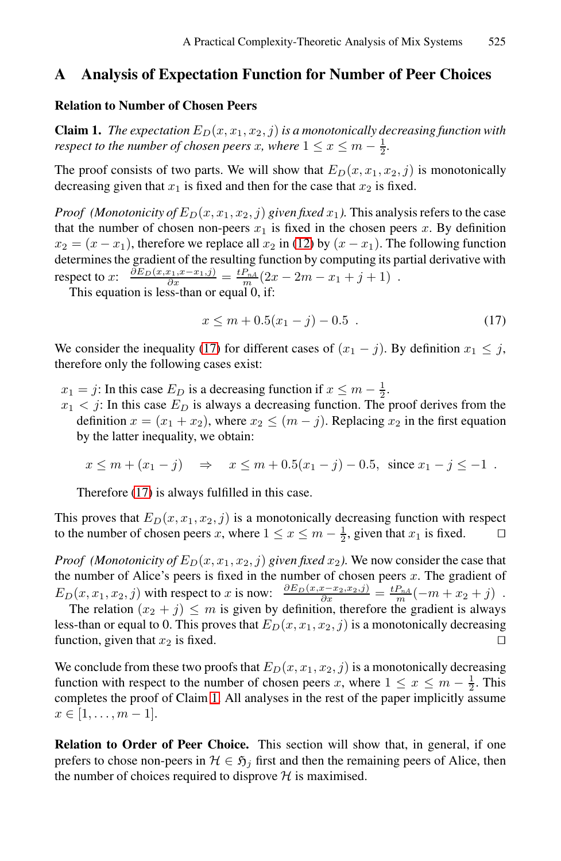# <span id="page-17-2"></span><span id="page-17-0"></span>**A Analysis of Expectation Function for Number of Peer Choices**

### **Relation to Number of Chosen Peers**

**Claim 1.** *The expectation*  $E_D(x, x_1, x_2, j)$  $E_D(x, x_1, x_2, j)$  *is a monotonically decreasing function with respect to the number of chosen peers x, where*  $1 \le x \le m - \frac{1}{2}$ *.* 

The proof consists of two parts. We will show that  $E_D(x, x_1, x_2, j)$  is monotonically decreasing given that  $x_1$  is fixed and then for the case that  $x_2$  is fixed.

*Proof (Monotonicity of*  $E_D(x, x_1, x_2, j)$  *given fixed*  $x_1$ ). This analysis refers to the case that the [nu](#page-17-1)mber of chosen non-peers  $x_1$  is fixed in the chosen peers  $x$ . By definition  $x_2 = (x - x_1)$ , therefore we replace all  $x_2$  in (12) by  $(x - x_1)$ . The following function determines the gradient of the resulting function by computing its partial derivative with respect to *x*:  $\frac{\partial E_D(x, x_1, x-x_1, j)}{\partial x} = \frac{tP_{nA}}{m}(2x - 2m - x_1 + j + 1)$ .

This equation is less-than or equal 0, if:

<span id="page-17-1"></span>
$$
x \le m + 0.5(x_1 - j) - 0.5 \tag{17}
$$

We consider the inequality (17) for different cases of  $(x_1 - j)$ . By definition  $x_1 \leq j$ , therefore only the following cases exist:

- *x*<sub>1</sub> = *j*: In this case *E*<sub>D</sub> is a decreasing function if  $x \le m \frac{1}{2}$ .
- $x_1$  < *j*: In this case  $E_D$  is always a decreasing function. The proof derives from the definition  $x = (x_1 + x_2)$ , where  $x_2 \leq (m - j)$ . Replacing  $x_2$  in the first equation by the latter inequality, we obtain:

$$
x \le m + (x_1 - j)
$$
  $\Rightarrow$   $x \le m + 0.5(x_1 - j) - 0.5$ , since  $x_1 - j \le -1$ .

Therefore (17) is always fulfilled in this case.

This proves that  $E_D(x, x_1, x_2, j)$  is a monotonically decreasing function with respect to the number of chosen peers *x*, where  $1 \le x \le m - \frac{1}{2}$ , given that *x*<sub>1</sub> is fixed. □

*Proof (Monotonicity of*  $E_D(x, x_1, x_2, j)$  *given fixed*  $x_2$ ). We now consider the case that the num[ber](#page-17-2) of Alice's peers is fixed in the number of chosen peers *x*. The gradient of  $E_D(x, x_1, x_2, j)$  with respect to *x* is now:  $\frac{\partial E_D(x, x-x_2, x_2, j)}{\partial x} = \frac{tP_{nA}}{m}(-m + x_2 + j)$ .

The relation  $(x_2 + j) \leq m$  is given by definition, therefore the gradient is always less-than or equal to 0. This proves that  $E_D(x, x_1, x_2, j)$  is a monotonically decreasing function, given that  $x_2$  is fixed.

We conclude from these two proofs that  $E_D(x, x_1, x_2, j)$  is a monotonically decreasing function with respect to the number of chosen peers *x*, where  $1 \le x \le m - \frac{1}{2}$ . This completes the proof of Claim 1. All analyses in the rest of the paper implicitly assume  $x \in [1, \ldots, m-1].$ 

**Relation to Order of Peer Choice.** This section will show that, in general, if one prefers to chose non-peers in  $\mathcal{H} \in \mathfrak{H}_i$  first and then the remaining peers of Alice, then the number of choices required to disprove  $H$  is maximised.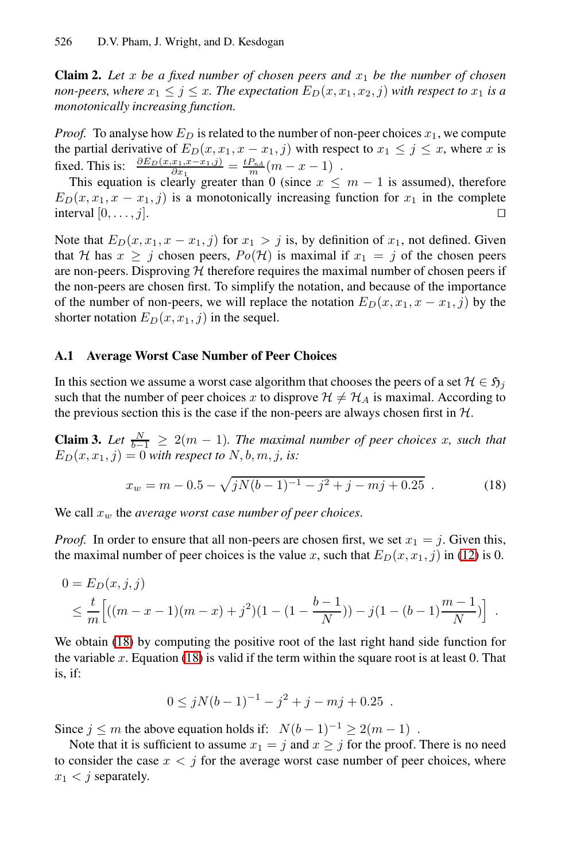**Claim 2.** Let *x* be a fixed number of chosen peers and  $x_1$  be the number of chosen *non-peers, where*  $x_1 \leq j \leq x$ *. The expectation*  $E_D(x, x_1, x_2, j)$  with respect to  $x_1$  is a *monotonically increasing function.*

*Proof.* To analyse how  $E_D$  is related to the number of non-peer choices  $x_1$ , we compute the partial derivative of  $E_D(x, x_1, x - x_1, j)$  with respect to  $x_1 \leq j \leq x$ , where *x* is fixed. This is:  $\frac{\partial E_D(x, x_1, x-x_1, j)}{\partial x_1} = \frac{tP_{nA}}{m}(m - x - 1)$ .

This equation is clearly greater than 0 (since  $x \leq m - 1$  is assumed), therefore  $E_D(x, x_1, x - x_1, j)$  is a monotonically increasing function for  $x_1$  in the complete interval  $[0, \ldots, j]$ .

<span id="page-18-0"></span>Note that  $E_D(x, x_1, x - x_1, j)$  for  $x_1 > j$  is, by definition of  $x_1$ , not defined. Given that H has  $x \geq j$  chosen peers,  $Po(H)$  is maximal if  $x_1 = j$  of the chosen peers are non-peers. Disproving  $H$  therefore requires the maximal number of chosen peers if the non-peers are chosen first. To simplify the notation, and because of the importance of the number of non-peers, we will replace the notation  $E_D(x, x_1, x - x_1, j)$  by the shorter notation  $E_D(x, x_1, j)$  in the sequel.

### **A.1 Average Worst Case Number of Peer Choices**

In this section we assume a worst case algorithm that chooses the peers of a set  $\mathcal{H} \in \mathfrak{H}_i$ such that the number of peer choices x to disprove  $\mathcal{H} \neq \mathcal{H}_A$  is maximal. According to the previous section this is the case if the non-peers are always chosen first in  $H$ .

**Claim 3.** Let  $\frac{N}{b-1} \geq 2(m-1)$ . The maximal number [of](#page-11-2) peer choices *x*, such that  $E_D(x, x_1, j) = 0$  *with respect to*  $N, b, m, j$ *, is:* 

<span id="page-18-1"></span>
$$
x_w = m - 0.5 - \sqrt{jN(b-1)^{-1} - j^2 + j - mj + 0.25} \tag{18}
$$

We call  $x_w$  the *average worst case number of peer choices*.

*Pro[of.](#page-18-1)* In order to ensure that all non-peers are chosen first, we set  $x_1 = j$ . Given this, the maximal number of peer choices is the value *x*, such that  $E_D(x, x_1, j)$  in (12) is 0.

$$
0 = E_D(x, j, j)
$$
  
\n
$$
\leq \frac{t}{m} \Big[ ((m - x - 1)(m - x) + j^2)(1 - (1 - \frac{b - 1}{N})) - j(1 - (b - 1)\frac{m - 1}{N}) \Big] .
$$

We obtain (18) by computing the positive root of the last right hand side function for the variable  $x$ . Equation (18) is valid if the term within the square root is at least 0. That is, if:

$$
0 \leq jN(b-1)^{-1} - j^2 + j - mj + 0.25
$$
.

Since  $j \le m$  the above equation holds if:  $N(b-1)^{-1} > 2(m-1)$ .

Note that it is sufficient to assume  $x_1 = j$  and  $x \geq j$  for the proof. There is no need to consider the case  $x < j$  for the average worst case number of peer choices, where  $x_1 < j$  separately.